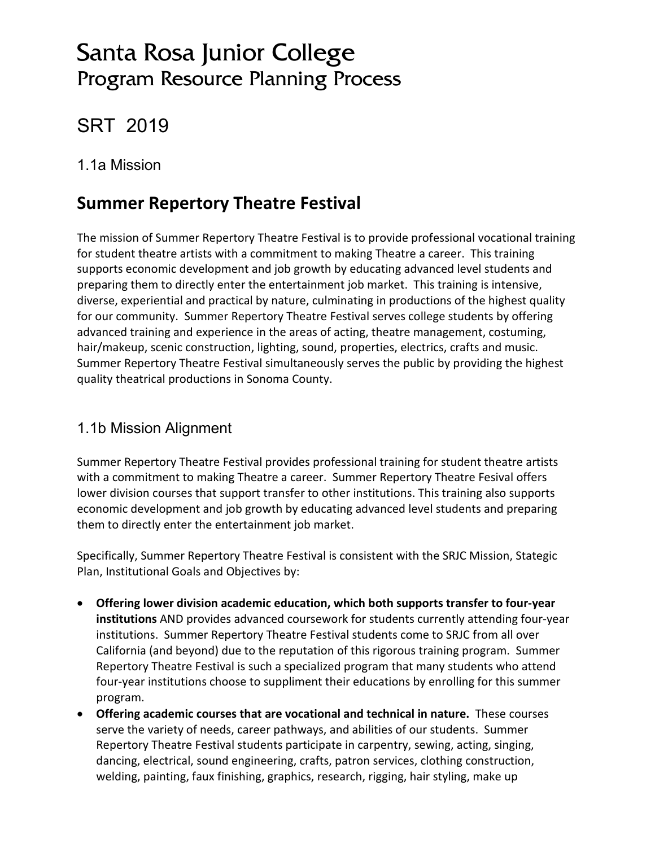# Santa Rosa Junior College Program Resource Planning Process

# SRT 2019

## 1.1a Mission

# **Summer Repertory Theatre Festival**

The mission of Summer Repertory Theatre Festival is to provide professional vocational training for student theatre artists with a commitment to making Theatre a career. This training supports economic development and job growth by educating advanced level students and preparing them to directly enter the entertainment job market. This training is intensive, diverse, experiential and practical by nature, culminating in productions of the highest quality for our community. Summer Repertory Theatre Festival serves college students by offering advanced training and experience in the areas of acting, theatre management, costuming, hair/makeup, scenic construction, lighting, sound, properties, electrics, crafts and music. Summer Repertory Theatre Festival simultaneously serves the public by providing the highest quality theatrical productions in Sonoma County.

## 1.1b Mission Alignment

Summer Repertory Theatre Festival provides professional training for student theatre artists with a commitment to making Theatre a career. Summer Repertory Theatre Fesival offers lower division courses that support transfer to other institutions. This training also supports economic development and job growth by educating advanced level students and preparing them to directly enter the entertainment job market.

Specifically, Summer Repertory Theatre Festival is consistent with the SRJC Mission, Stategic Plan, Institutional Goals and Objectives by:

- **Offering lower division academic education, which both supports transfer to four-year institutions** AND provides advanced coursework for students currently attending four-year institutions. Summer Repertory Theatre Festival students come to SRJC from all over California (and beyond) due to the reputation of this rigorous training program. Summer Repertory Theatre Festival is such a specialized program that many students who attend four-year institutions choose to suppliment their educations by enrolling for this summer program.
- **Offering academic courses that are vocational and technical in nature.** These courses serve the variety of needs, career pathways, and abilities of our students. Summer Repertory Theatre Festival students participate in carpentry, sewing, acting, singing, dancing, electrical, sound engineering, crafts, patron services, clothing construction, welding, painting, faux finishing, graphics, research, rigging, hair styling, make up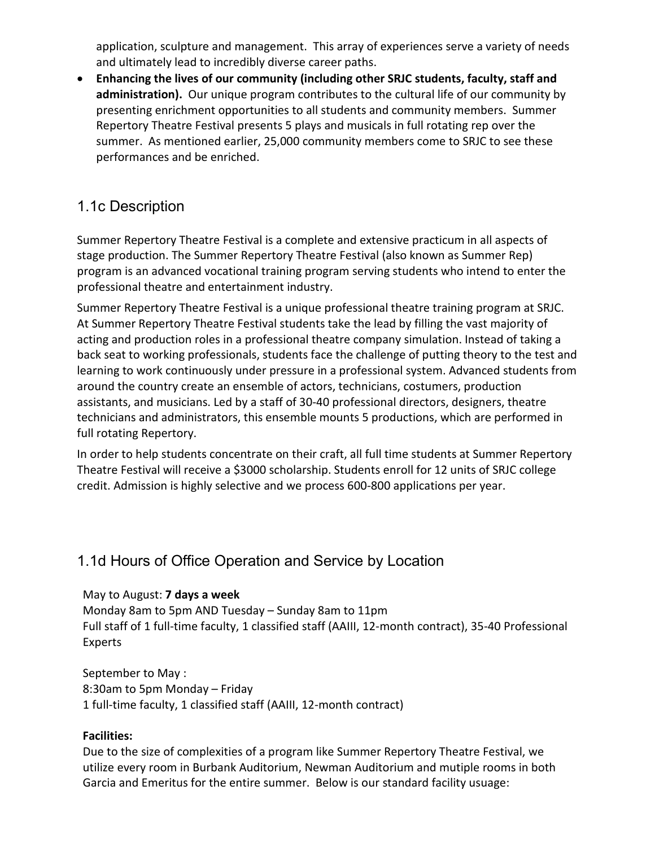application, sculpture and management. This array of experiences serve a variety of needs and ultimately lead to incredibly diverse career paths.

• **Enhancing the lives of our community (including other SRJC students, faculty, staff and administration).** Our unique program contributes to the cultural life of our community by presenting enrichment opportunities to all students and community members. Summer Repertory Theatre Festival presents 5 plays and musicals in full rotating rep over the summer. As mentioned earlier, 25,000 community members come to SRJC to see these performances and be enriched.

## 1.1c Description

Summer Repertory Theatre Festival is a complete and extensive practicum in all aspects of stage production. The Summer Repertory Theatre Festival (also known as Summer Rep) program is an advanced vocational training program serving students who intend to enter the professional theatre and entertainment industry.

Summer Repertory Theatre Festival is a unique professional theatre training program at SRJC. At Summer Repertory Theatre Festival students take the lead by filling the vast majority of acting and production roles in a professional theatre company simulation. Instead of taking a back seat to working professionals, students face the challenge of putting theory to the test and learning to work continuously under pressure in a professional system. Advanced students from around the country create an ensemble of actors, technicians, costumers, production assistants, and musicians. Led by a staff of 30-40 professional directors, designers, theatre technicians and administrators, this ensemble mounts 5 productions, which are performed in full rotating Repertory.

In order to help students concentrate on their craft, all full time students at Summer Repertory Theatre Festival will receive a \$3000 scholarship. Students enroll for 12 units of SRJC college credit. Admission is highly selective and we process 600-800 applications per year.

## 1.1d Hours of Office Operation and Service by Location

#### May to August: **7 days a week**

Monday 8am to 5pm AND Tuesday – Sunday 8am to 11pm Full staff of 1 full-time faculty, 1 classified staff (AAIII, 12-month contract), 35-40 Professional Experts

September to May : 8:30am to 5pm Monday – Friday 1 full-time faculty, 1 classified staff (AAIII, 12-month contract)

#### **Facilities:**

Due to the size of complexities of a program like Summer Repertory Theatre Festival, we utilize every room in Burbank Auditorium, Newman Auditorium and mutiple rooms in both Garcia and Emeritus for the entire summer. Below is our standard facility usuage: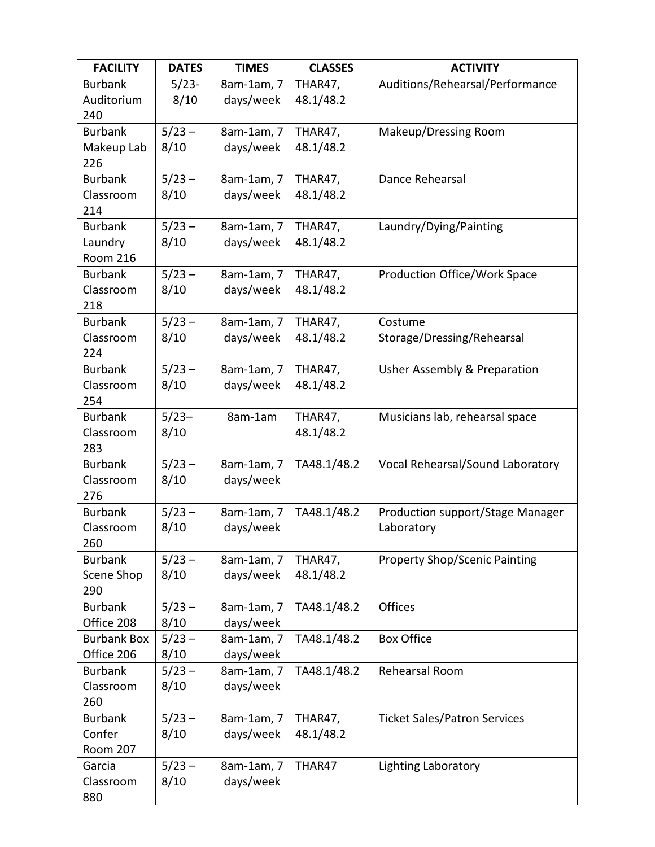| <b>FACILITY</b>    | <b>DATES</b> | <b>TIMES</b> | <b>CLASSES</b> | <b>ACTIVITY</b>                      |
|--------------------|--------------|--------------|----------------|--------------------------------------|
| <b>Burbank</b>     | $5/23-$      | 8am-1am, 7   | THAR47,        | Auditions/Rehearsal/Performance      |
| Auditorium         | 8/10         | days/week    | 48.1/48.2      |                                      |
| 240                |              |              |                |                                      |
| <b>Burbank</b>     | $5/23 -$     | 8am-1am, 7   | THAR47,        | Makeup/Dressing Room                 |
| Makeup Lab         | 8/10         | days/week    | 48.1/48.2      |                                      |
| 226                |              |              |                |                                      |
| <b>Burbank</b>     | $5/23 -$     | 8am-1am, 7   | THAR47,        | Dance Rehearsal                      |
| Classroom          | 8/10         | days/week    | 48.1/48.2      |                                      |
| 214                |              |              |                |                                      |
| <b>Burbank</b>     | $5/23 -$     | 8am-1am, 7   | THAR47,        | Laundry/Dying/Painting               |
| Laundry            | 8/10         | days/week    | 48.1/48.2      |                                      |
| <b>Room 216</b>    |              |              |                |                                      |
| <b>Burbank</b>     | $5/23 -$     | 8am-1am, 7   | THAR47,        | Production Office/Work Space         |
| Classroom          | 8/10         | days/week    | 48.1/48.2      |                                      |
| 218                |              |              |                |                                      |
| <b>Burbank</b>     | $5/23 -$     | 8am-1am, 7   | THAR47,        | Costume                              |
| Classroom          | 8/10         | days/week    | 48.1/48.2      | Storage/Dressing/Rehearsal           |
| 224                |              |              |                |                                      |
| <b>Burbank</b>     | $5/23 -$     | 8am-1am, 7   | THAR47,        | Usher Assembly & Preparation         |
| Classroom          | 8/10         | days/week    | 48.1/48.2      |                                      |
| 254                |              |              |                |                                      |
| <b>Burbank</b>     | $5/23-$      | 8am-1am      | THAR47,        | Musicians lab, rehearsal space       |
| Classroom          | 8/10         |              | 48.1/48.2      |                                      |
| 283                |              |              |                |                                      |
| <b>Burbank</b>     | $5/23 -$     | 8am-1am, 7   | TA48.1/48.2    | Vocal Rehearsal/Sound Laboratory     |
| Classroom          | 8/10         | days/week    |                |                                      |
| 276                |              |              |                |                                      |
| <b>Burbank</b>     | $5/23 -$     | 8am-1am, 7   | TA48.1/48.2    | Production support/Stage Manager     |
| Classroom          | 8/10         | days/week    |                | Laboratory                           |
| 260                |              |              |                |                                      |
| <b>Burbank</b>     | $5/23 -$     | 8am-1am, 7   | THAR47,        | <b>Property Shop/Scenic Painting</b> |
| Scene Shop         | 8/10         | days/week    | 48.1/48.2      |                                      |
| 290                |              |              |                |                                      |
| <b>Burbank</b>     | $5/23 -$     | 8am-1am, 7   | TA48.1/48.2    | <b>Offices</b>                       |
| Office 208         | 8/10         | days/week    |                |                                      |
| <b>Burbank Box</b> | $5/23 -$     | 8am-1am, 7   | TA48.1/48.2    | <b>Box Office</b>                    |
| Office 206         | 8/10         | days/week    |                |                                      |
| <b>Burbank</b>     | $5/23 -$     | 8am-1am, 7   | TA48.1/48.2    | Rehearsal Room                       |
| Classroom          | 8/10         | days/week    |                |                                      |
| 260                |              |              |                |                                      |
| <b>Burbank</b>     | $5/23 -$     | 8am-1am, 7   | THAR47,        | <b>Ticket Sales/Patron Services</b>  |
| Confer             | 8/10         | days/week    | 48.1/48.2      |                                      |
| <b>Room 207</b>    |              |              |                |                                      |
| Garcia             | $5/23 -$     | 8am-1am, 7   | THAR47         | <b>Lighting Laboratory</b>           |
| Classroom          | 8/10         | days/week    |                |                                      |
| 880                |              |              |                |                                      |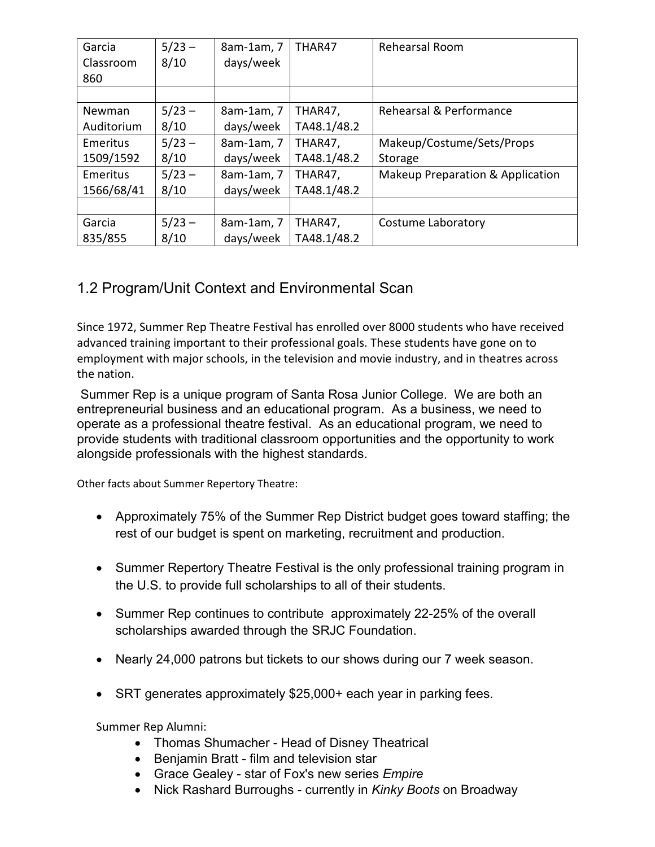| Garcia     | $5/23 -$               | 8am-1am, 7 | THAR47      | Rehearsal Room                   |
|------------|------------------------|------------|-------------|----------------------------------|
| Classroom  | 8/10                   | days/week  |             |                                  |
| 860        |                        |            |             |                                  |
|            |                        |            |             |                                  |
| Newman     | $5/23 -$               | 8am-1am, 7 | THAR47,     | Rehearsal & Performance          |
| Auditorium | 8/10<br>days/week      |            | TA48.1/48.2 |                                  |
| Emeritus   | $5/23 -$<br>8am-1am, 7 |            | THAR47,     | Makeup/Costume/Sets/Props        |
| 1509/1592  | 8/10                   | days/week  | TA48.1/48.2 | <b>Storage</b>                   |
| Emeritus   | $5/23 -$               | 8am-1am, 7 | THAR47,     | Makeup Preparation & Application |
| 1566/68/41 | 8/10                   |            | TA48.1/48.2 |                                  |
|            |                        |            |             |                                  |
| Garcia     | $5/23 -$<br>8am-1am, 7 |            | THAR47,     | Costume Laboratory               |
| 835/855    | 8/10                   | days/week  | TA48.1/48.2 |                                  |

# 1.2 Program/Unit Context and Environmental Scan

Since 1972, Summer Rep Theatre Festival has enrolled over 8000 students who have received advanced training important to their professional goals. These students have gone on to employment with major schools, in the television and movie industry, and in theatres across the nation.

Summer Rep is a unique program of Santa Rosa Junior College. We are both an entrepreneurial business and an educational program. As a business, we need to operate as a professional theatre festival. As an educational program, we need to provide students with traditional classroom opportunities and the opportunity to work alongside professionals with the highest standards.

Other facts about Summer Repertory Theatre:

- Approximately 75% of the Summer Rep District budget goes toward staffing; the rest of our budget is spent on marketing, recruitment and production.
- Summer Repertory Theatre Festival is the only professional training program in the U.S. to provide full scholarships to all of their students.
- Summer Rep continues to contribute approximately 22-25% of the overall scholarships awarded through the SRJC Foundation.
- Nearly 24,000 patrons but tickets to our shows during our 7 week season.
- SRT generates approximately \$25,000+ each year in parking fees.

Summer Rep Alumni:

- Thomas Shumacher Head of Disney Theatrical
- Benjamin Bratt film and television star
- Grace Gealey star of Fox's new series *Empire*
- Nick Rashard Burroughs currently in *Kinky Boots* on Broadway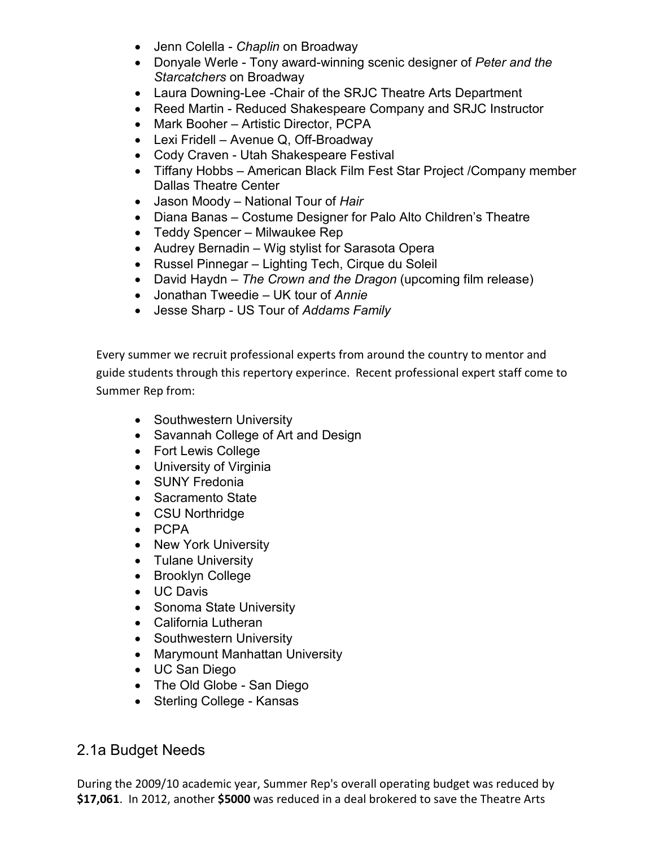- Jenn Colella *Chaplin* on Broadway
- Donyale Werle Tony award-winning scenic designer of *Peter and the Starcatchers* on Broadway
- Laura Downing-Lee -Chair of the SRJC Theatre Arts Department
- Reed Martin Reduced Shakespeare Company and SRJC Instructor
- Mark Booher Artistic Director, PCPA
- Lexi Fridell Avenue Q, Off-Broadway
- Cody Craven Utah Shakespeare Festival
- Tiffany Hobbs American Black Film Fest Star Project /Company member Dallas Theatre Center
- Jason Moody National Tour of *Hair*
- Diana Banas Costume Designer for Palo Alto Children's Theatre
- Teddy Spencer Milwaukee Rep
- Audrey Bernadin Wig stylist for Sarasota Opera
- Russel Pinnegar Lighting Tech, Cirque du Soleil
- David Haydn *The Crown and the Dragon* (upcoming film release)
- Jonathan Tweedie UK tour of *Annie*
- Jesse Sharp US Tour of *Addams Family*

Every summer we recruit professional experts from around the country to mentor and guide students through this repertory experince. Recent professional expert staff come to Summer Rep from:

- Southwestern University
- Savannah College of Art and Design
- Fort Lewis College
- University of Virginia
- SUNY Fredonia
- Sacramento State
- CSU Northridge
- PCPA
- New York University
- Tulane University
- Brooklyn College
- UC Davis
- Sonoma State University
- California Lutheran
- Southwestern University
- Marymount Manhattan University
- UC San Diego
- The Old Globe San Diego
- Sterling College Kansas

## 2.1a Budget Needs

During the 2009/10 academic year, Summer Rep's overall operating budget was reduced by **\$17,061**. In 2012, another **\$5000** was reduced in a deal brokered to save the Theatre Arts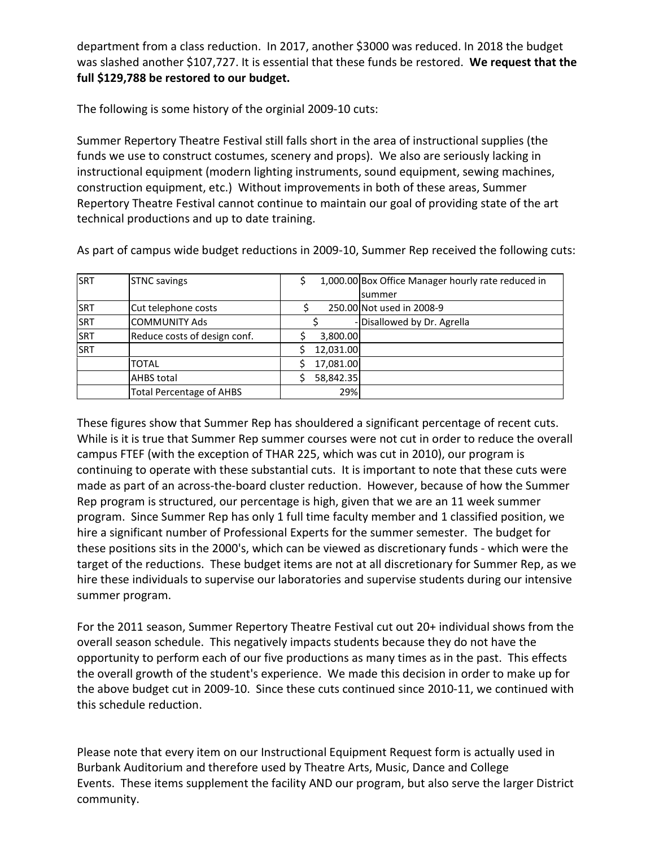department from a class reduction. In 2017, another \$3000 was reduced. In 2018 the budget was slashed another \$107,727. It is essential that these funds be restored. **We request that the full \$129,788 be restored to our budget.**

The following is some history of the orginial 2009-10 cuts:

Summer Repertory Theatre Festival still falls short in the area of instructional supplies (the funds we use to construct costumes, scenery and props). We also are seriously lacking in instructional equipment (modern lighting instruments, sound equipment, sewing machines, construction equipment, etc.) Without improvements in both of these areas, Summer Repertory Theatre Festival cannot continue to maintain our goal of providing state of the art technical productions and up to date training.

As part of campus wide budget reductions in 2009-10, Summer Rep received the following cuts:

| <b>SRT</b>  | <b>STNC savings</b>             | 1,000.00 Box Office Manager hourly rate reduced in |  |
|-------------|---------------------------------|----------------------------------------------------|--|
|             |                                 | summer                                             |  |
| <b>SRT</b>  | Cut telephone costs             | 250.00 Not used in 2008-9                          |  |
| SRT         | <b>COMMUNITY Ads</b>            | - Disallowed by Dr. Agrella                        |  |
| <b>ISRT</b> | Reduce costs of design conf.    | 3,800.00                                           |  |
| SRT         |                                 | 12,031.00                                          |  |
|             | TOTAL                           | 17,081.00                                          |  |
|             | <b>AHBS total</b>               | 58,842.35                                          |  |
|             | <b>Total Percentage of AHBS</b> | 29%                                                |  |

These figures show that Summer Rep has shouldered a significant percentage of recent cuts. While is it is true that Summer Rep summer courses were not cut in order to reduce the overall campus FTEF (with the exception of THAR 225, which was cut in 2010), our program is continuing to operate with these substantial cuts. It is important to note that these cuts were made as part of an across-the-board cluster reduction. However, because of how the Summer Rep program is structured, our percentage is high, given that we are an 11 week summer program. Since Summer Rep has only 1 full time faculty member and 1 classified position, we hire a significant number of Professional Experts for the summer semester. The budget for these positions sits in the 2000's, which can be viewed as discretionary funds - which were the target of the reductions. These budget items are not at all discretionary for Summer Rep, as we hire these individuals to supervise our laboratories and supervise students during our intensive summer program.

For the 2011 season, Summer Repertory Theatre Festival cut out 20+ individual shows from the overall season schedule. This negatively impacts students because they do not have the opportunity to perform each of our five productions as many times as in the past. This effects the overall growth of the student's experience. We made this decision in order to make up for the above budget cut in 2009-10. Since these cuts continued since 2010-11, we continued with this schedule reduction.

Please note that every item on our Instructional Equipment Request form is actually used in Burbank Auditorium and therefore used by Theatre Arts, Music, Dance and College Events. These items supplement the facility AND our program, but also serve the larger District community.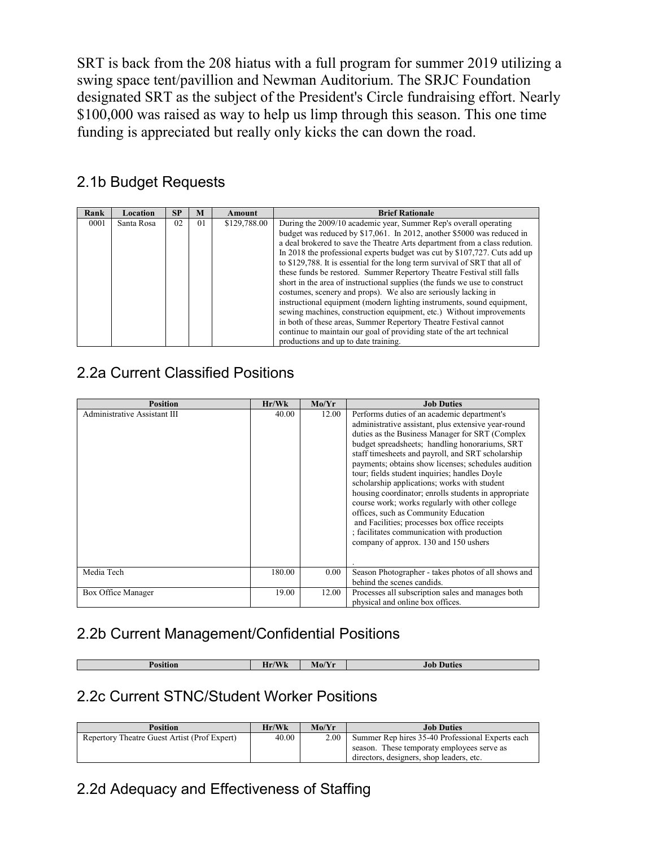SRT is back from the 208 hiatus with a full program for summer 2019 utilizing a swing space tent/pavillion and Newman Auditorium. The SRJC Foundation designated SRT as the subject of the President's Circle fundraising effort. Nearly \$100,000 was raised as way to help us limp through this season. This one time funding is appreciated but really only kicks the can down the road.

# 2.1b Budget Requests

| Rank | Location   | <b>SP</b> | M              | Amount       | <b>Brief Rationale</b>                                                                                                                                                                                                                                                                                                                                                                                                                                                                                                                                                                                                                                                                                                                                                                                                                                                                                                                               |
|------|------------|-----------|----------------|--------------|------------------------------------------------------------------------------------------------------------------------------------------------------------------------------------------------------------------------------------------------------------------------------------------------------------------------------------------------------------------------------------------------------------------------------------------------------------------------------------------------------------------------------------------------------------------------------------------------------------------------------------------------------------------------------------------------------------------------------------------------------------------------------------------------------------------------------------------------------------------------------------------------------------------------------------------------------|
| 0001 | Santa Rosa | 02        | 0 <sub>1</sub> | \$129,788.00 | During the 2009/10 academic year, Summer Rep's overall operating<br>budget was reduced by \$17,061. In 2012, another \$5000 was reduced in<br>a deal brokered to save the Theatre Arts department from a class redution.<br>In 2018 the professional experts budget was cut by \$107,727. Cuts add up<br>to \$129,788. It is essential for the long term survival of SRT that all of<br>these funds be restored. Summer Repertory Theatre Festival still falls<br>short in the area of instructional supplies (the funds we use to construct<br>costumes, scenery and props). We also are seriously lacking in<br>instructional equipment (modern lighting instruments, sound equipment,<br>sewing machines, construction equipment, etc.) Without improvements<br>in both of these areas, Summer Repertory Theatre Festival cannot<br>continue to maintain our goal of providing state of the art technical<br>productions and up to date training. |

# 2.2a Current Classified Positions

| <b>Position</b>              | Hr/Wk  | Mo/Yr | <b>Job Duties</b>                                                                                                                                                                                                                                                                                                                                                                                                                                                                                                                                                                                                                                                                                                |
|------------------------------|--------|-------|------------------------------------------------------------------------------------------------------------------------------------------------------------------------------------------------------------------------------------------------------------------------------------------------------------------------------------------------------------------------------------------------------------------------------------------------------------------------------------------------------------------------------------------------------------------------------------------------------------------------------------------------------------------------------------------------------------------|
| Administrative Assistant III | 40.00  | 12.00 | Performs duties of an academic department's<br>administrative assistant, plus extensive year-round<br>duties as the Business Manager for SRT (Complex<br>budget spreadsheets; handling honorariums, SRT<br>staff timesheets and payroll, and SRT scholarship<br>payments; obtains show licenses; schedules audition<br>tour; fields student inquiries; handles Doyle<br>scholarship applications; works with student<br>housing coordinator, enrolls students in appropriate<br>course work; works regularly with other college<br>offices, such as Community Education<br>and Facilities; processes box office receipts<br>; facilitates communication with production<br>company of approx. 130 and 150 ushers |
| Media Tech                   | 180.00 | 0.00  | Season Photographer - takes photos of all shows and<br>behind the scenes candids.                                                                                                                                                                                                                                                                                                                                                                                                                                                                                                                                                                                                                                |
| Box Office Manager           | 19.00  | 12.00 | Processes all subscription sales and manages both<br>physical and online box offices.                                                                                                                                                                                                                                                                                                                                                                                                                                                                                                                                                                                                                            |

## 2.2b Current Management/Confidential Positions

| Position | $T$ $T$ $T$<br>-<br><b>WK</b><br>пг | $\sqrt{2}$<br>Mo/Yr<br>$\sim$ | Duties<br>Job<br>----- |
|----------|-------------------------------------|-------------------------------|------------------------|

## 2.2c Current STNC/Student Worker Positions

| <b>Position</b>                              | Hr/Wk | Mo/Yr | <b>Job Duties</b>                                |
|----------------------------------------------|-------|-------|--------------------------------------------------|
| Repertory Theatre Guest Artist (Prof Expert) | 40.00 | 2.00  | Summer Rep hires 35-40 Professional Experts each |
|                                              |       |       | season. These temporaty employees serve as       |
|                                              |       |       | directors, designers, shop leaders, etc.         |

## 2.2d Adequacy and Effectiveness of Staffing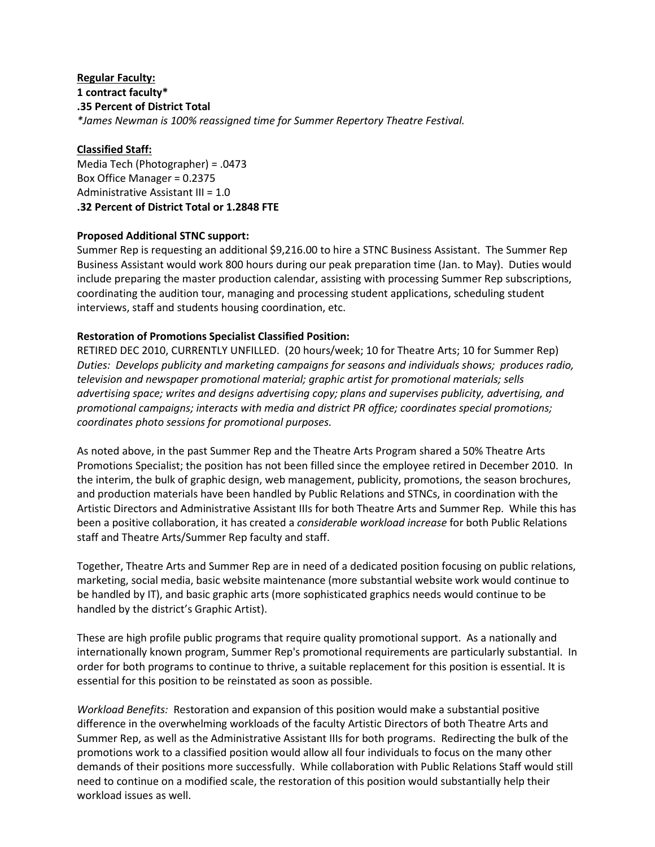#### **Regular Faculty: 1 contract faculty\* .35 Percent of District Total** *\*James Newman is 100% reassigned time for Summer Repertory Theatre Festival.*

#### **Classified Staff:**

Media Tech (Photographer) = .0473 Box Office Manager = 0.2375 Administrative Assistant III = 1.0 **.32 Percent of District Total or 1.2848 FTE**

#### **Proposed Additional STNC support:**

Summer Rep is requesting an additional \$9,216.00 to hire a STNC Business Assistant. The Summer Rep Business Assistant would work 800 hours during our peak preparation time (Jan. to May). Duties would include preparing the master production calendar, assisting with processing Summer Rep subscriptions, coordinating the audition tour, managing and processing student applications, scheduling student interviews, staff and students housing coordination, etc.

#### **Restoration of Promotions Specialist Classified Position:**

RETIRED DEC 2010, CURRENTLY UNFILLED. (20 hours/week; 10 for Theatre Arts; 10 for Summer Rep) *Duties: Develops publicity and marketing campaigns for seasons and individuals shows; produces radio, television and newspaper promotional material; graphic artist for promotional materials; sells advertising space; writes and designs advertising copy; plans and supervises publicity, advertising, and promotional campaigns; interacts with media and district PR office; coordinates special promotions; coordinates photo sessions for promotional purposes.* 

As noted above, in the past Summer Rep and the Theatre Arts Program shared a 50% Theatre Arts Promotions Specialist; the position has not been filled since the employee retired in December 2010. In the interim, the bulk of graphic design, web management, publicity, promotions, the season brochures, and production materials have been handled by Public Relations and STNCs, in coordination with the Artistic Directors and Administrative Assistant IIIs for both Theatre Arts and Summer Rep. While this has been a positive collaboration, it has created a *considerable workload increase* for both Public Relations staff and Theatre Arts/Summer Rep faculty and staff.

Together, Theatre Arts and Summer Rep are in need of a dedicated position focusing on public relations, marketing, social media, basic website maintenance (more substantial website work would continue to be handled by IT), and basic graphic arts (more sophisticated graphics needs would continue to be handled by the district's Graphic Artist).

These are high profile public programs that require quality promotional support. As a nationally and internationally known program, Summer Rep's promotional requirements are particularly substantial. In order for both programs to continue to thrive, a suitable replacement for this position is essential. It is essential for this position to be reinstated as soon as possible.

*Workload Benefits:* Restoration and expansion of this position would make a substantial positive difference in the overwhelming workloads of the faculty Artistic Directors of both Theatre Arts and Summer Rep, as well as the Administrative Assistant IIIs for both programs. Redirecting the bulk of the promotions work to a classified position would allow all four individuals to focus on the many other demands of their positions more successfully. While collaboration with Public Relations Staff would still need to continue on a modified scale, the restoration of this position would substantially help their workload issues as well.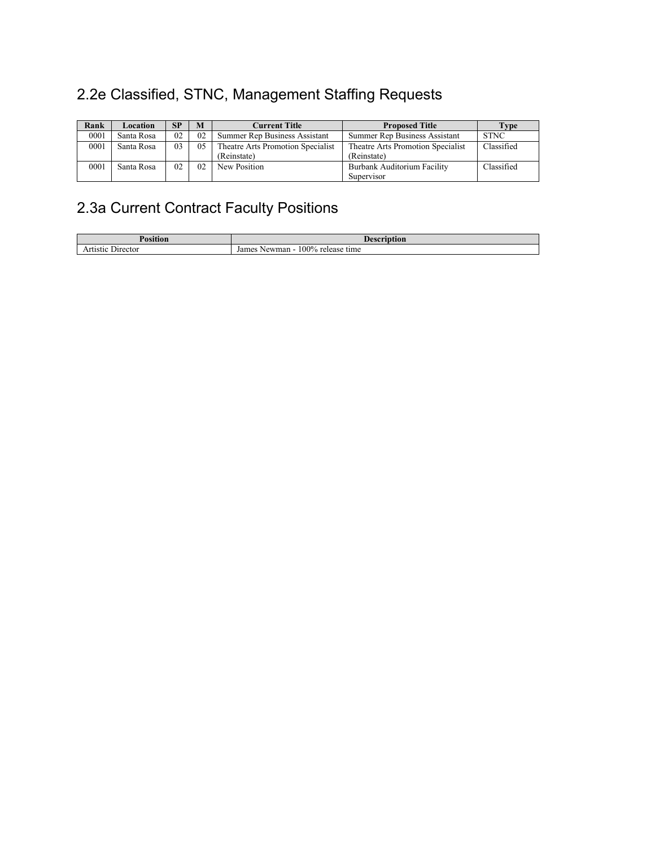# 2.2e Classified, STNC, Management Staffing Requests

| Rank | Location   | SP | M  | <b>Current Title</b>              | <b>Proposed Title</b>             | Type        |
|------|------------|----|----|-----------------------------------|-----------------------------------|-------------|
| 0001 | Santa Rosa | 02 | 02 | Summer Rep Business Assistant     | Summer Rep Business Assistant     | <b>STNC</b> |
| 0001 | Santa Rosa | 03 | 05 | Theatre Arts Promotion Specialist | Theatre Arts Promotion Specialist | Classified  |
|      |            |    |    | (Reinstate)                       | (Reinstate)                       |             |
| 0001 | Santa Rosa | 02 | 02 | New Position                      | Burbank Auditorium Facility       | Classified  |
|      |            |    |    |                                   | Supervisor                        |             |

# 2.3a Current Contract Faculty Positions

| osition             | 0.022<br>ıon                               |
|---------------------|--------------------------------------------|
| Director<br>rtistic | .00%<br>James<br>Newman<br>release<br>time |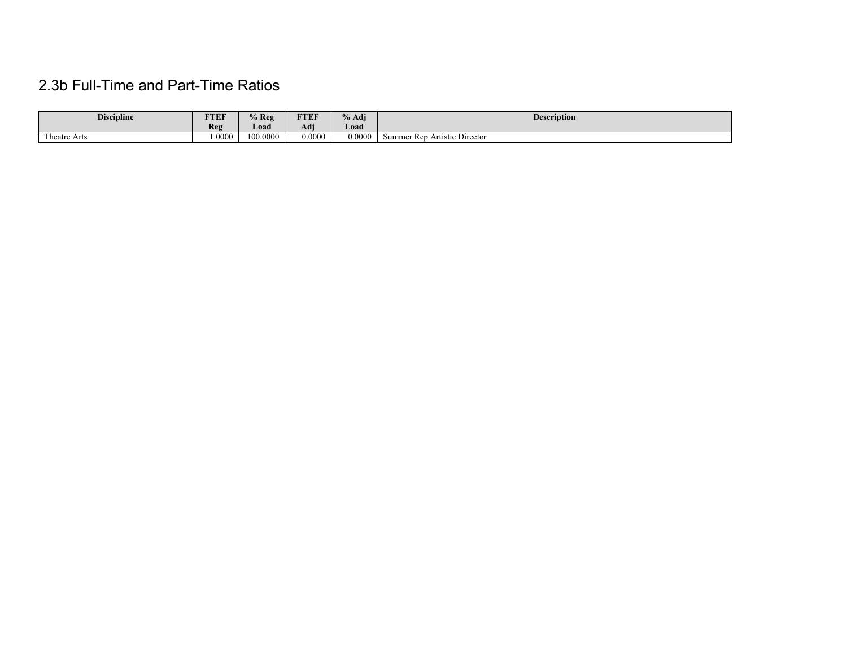# 2.3b Full-Time and Part-Time Ratios

| <b>Discipline</b>                  | FTEF  | $%$ Reg  | ETER<br>I EL        | % Adj  | <b>Description</b>                                   |
|------------------------------------|-------|----------|---------------------|--------|------------------------------------------------------|
|                                    | Reg   | Load     | $\mathbf{r}$<br>Adı | Load   |                                                      |
| <b>CONTRACTOR</b><br>l'heatre Arts | .0000 | 100.0000 | 0.0000              | 0.0000 | $\sim$<br><b>The</b><br>Summer Rep Artistic Director |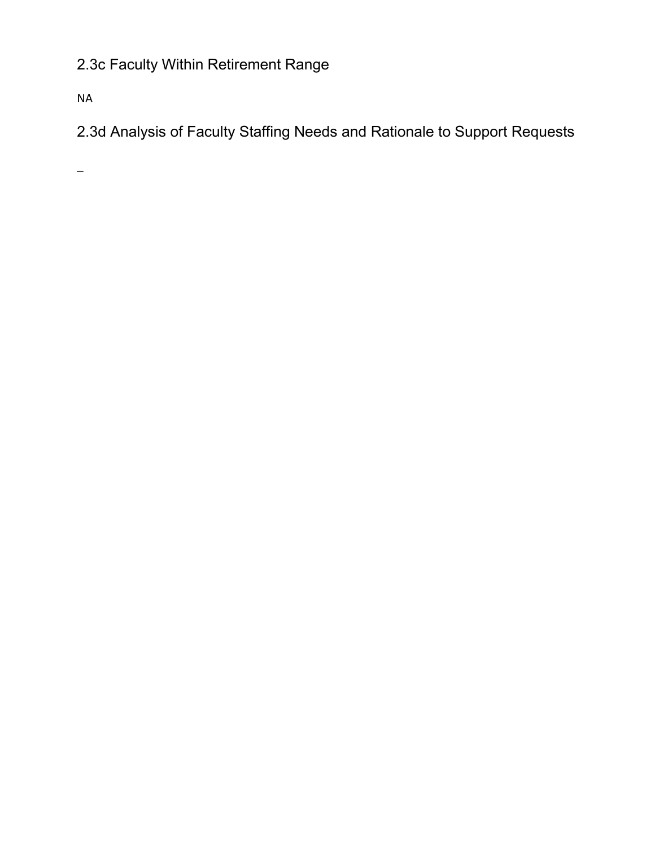# 2.3c Faculty Within Retirement Range

NA

2.3d Analysis of Faculty Staffing Needs and Rationale to Support Requests

 $\equiv$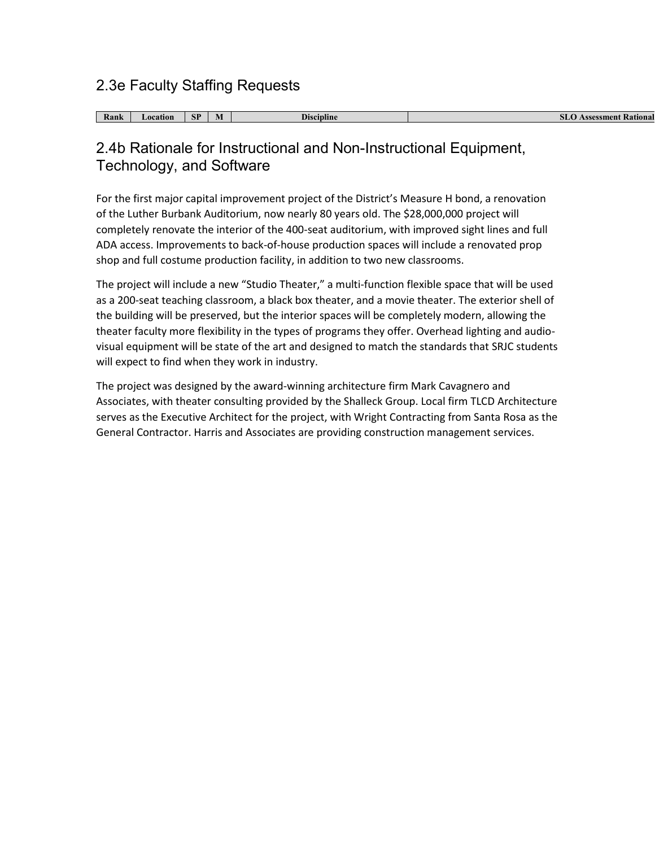## 2.3e Faculty Staffing Requests

| $\sim$<br>Rank | <b>_ocation</b> | <b>GD</b><br>$\mathbf{H}$ | <b>Discipline</b> | Rational<br>$-$ ssessment<br>ы |
|----------------|-----------------|---------------------------|-------------------|--------------------------------|

## 2.4b Rationale for Instructional and Non-Instructional Equipment, Technology, and Software

For the first major capital improvement project of the District's Measure H bond, a renovation of the Luther Burbank Auditorium, now nearly 80 years old. The \$28,000,000 project will completely renovate the interior of the 400-seat auditorium, with improved sight lines and full ADA access. Improvements to back-of-house production spaces will include a renovated prop shop and full costume production facility, in addition to two new classrooms.

The project will include a new "Studio Theater," a multi-function flexible space that will be used as a 200-seat teaching classroom, a black box theater, and a movie theater. The exterior shell of the building will be preserved, but the interior spaces will be completely modern, allowing the theater faculty more flexibility in the types of programs they offer. Overhead lighting and audiovisual equipment will be state of the art and designed to match the standards that SRJC students will expect to find when they work in industry.

The project was designed by the award-winning architecture firm Mark Cavagnero and Associates, with theater consulting provided by the Shalleck Group. Local firm TLCD Architecture serves as the Executive Architect for the project, with Wright Contracting from Santa Rosa as the General Contractor. Harris and Associates are providing construction management services.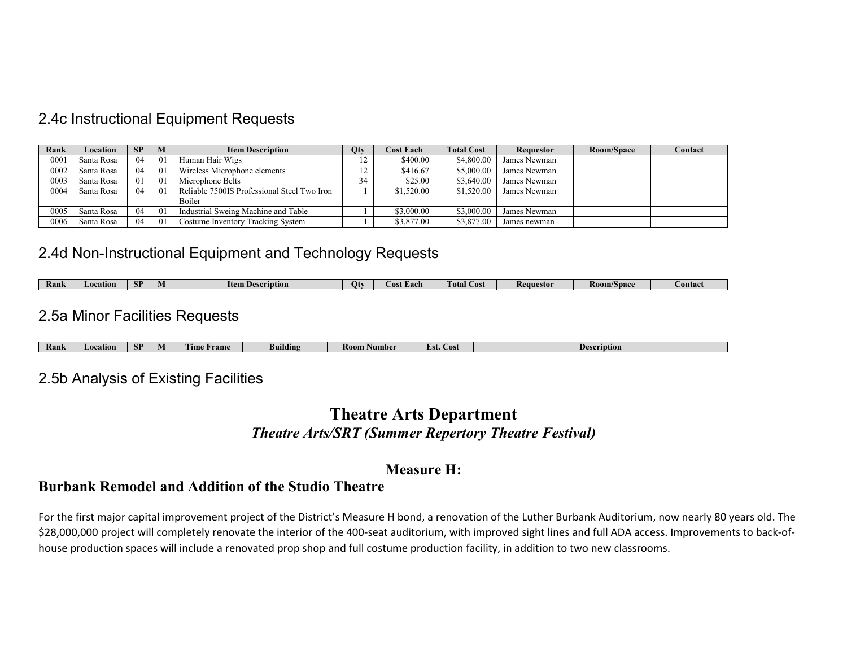## 2.4c Instructional Equipment Requests

| Rank | Location   | <b>SP</b> | M               | <b>Qty</b><br><b>Item Description</b>       |                | <b>Cost Each</b> | <b>Total Cost</b> | Requestor    | Room/Space | Contact |
|------|------------|-----------|-----------------|---------------------------------------------|----------------|------------------|-------------------|--------------|------------|---------|
| 0001 | Santa Rosa | 04        | 01              | Human Hair Wigs                             | $\overline{1}$ | \$400.00         | \$4,800.00        | James Newman |            |         |
| 0002 | Santa Rosa | 04        | 01              | Wireless Microphone elements                |                | \$416.67         | \$5,000.00        | James Newman |            |         |
| 0003 | Santa Rosa | 01        | 01              | Microphone Belts                            | 34             | \$25.00          | \$3,640.00        | James Newman |            |         |
| 0004 | Santa Rosa | 04        | 01              | Reliable 7500IS Professional Steel Two Iron |                | \$1,520.00       | \$1,520.00        | James Newman |            |         |
|      |            |           |                 | Boiler                                      |                |                  |                   |              |            |         |
| 0005 | Santa Rosa | 04        | 01              | Industrial Sweing Machine and Table         |                | \$3,000.00       | \$3,000.00        | James Newman |            |         |
| 0006 | Santa Rosa | 04        | $\overline{01}$ | Costume Inventory Tracking System           |                | \$3,877.00       | \$3,877.00        | James newman |            |         |

### 2.4d Non-Instructional Equipment and Technology Requests

| Ranl | <i>_</i> ocation | CD.<br>$\mathbf{C}$ | IVI | !tem<br>escription<br>., | $\mathbf{u}$ | .t Each<br>- OST | <b>CONT</b><br><b>Lotal</b><br>COSt | Requestor | <b>Room/Space</b> | <b>Contact</b> |
|------|------------------|---------------------|-----|--------------------------|--------------|------------------|-------------------------------------|-----------|-------------------|----------------|
|------|------------------|---------------------|-----|--------------------------|--------------|------------------|-------------------------------------|-----------|-------------------|----------------|

### 2.5a Minor Facilities Requests

| Rank | <i><b>Gation</b></i> | TP.<br>OН | IV | <b>FRIDE</b><br><b>Tame</b><br>¶Hn⊾ | Building | Number<br>Koom | н с<br>COST<br>urs t | $\mathbf{R}$<br>cription |
|------|----------------------|-----------|----|-------------------------------------|----------|----------------|----------------------|--------------------------|

### 2.5b Analysis of Existing Facilities

## **Theatre Arts Department** *Theatre Arts/SRT (Summer Repertory Theatre Festival)*

### **Measure H:**

### **Burbank Remodel and Addition of the Studio Theatre**

For the first major capital improvement project of the District's Measure H bond, a renovation of the Luther Burbank Auditorium, now nearly 80 years old. The \$28,000,000 project will completely renovate the interior of the 400-seat auditorium, with improved sight lines and full ADA access. Improvements to back-ofhouse production spaces will include a renovated prop shop and full costume production facility, in addition to two new classrooms.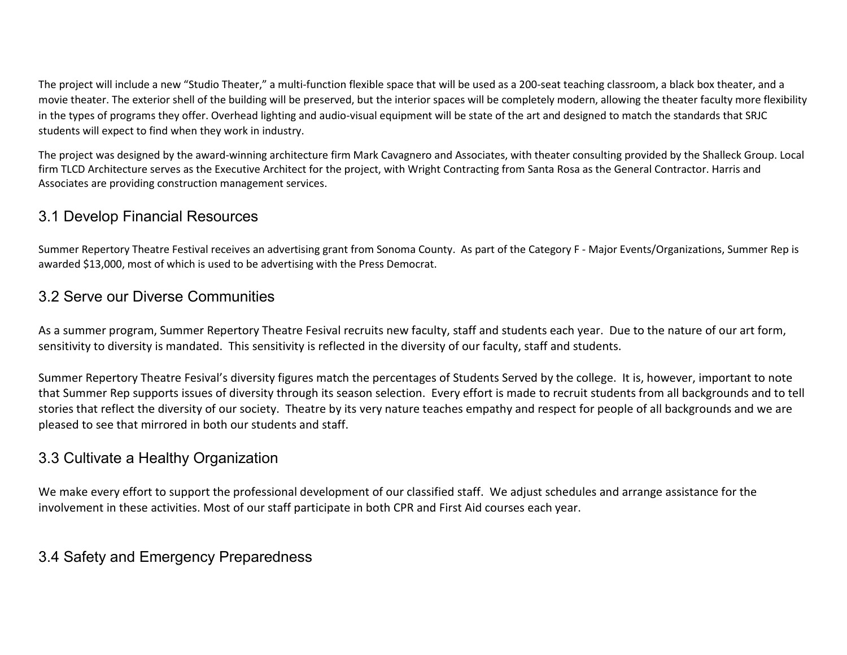The project will include a new "Studio Theater," a multi-function flexible space that will be used as a 200-seat teaching classroom, a black box theater, and a movie theater. The exterior shell of the building will be preserved, but the interior spaces will be completely modern, allowing the theater faculty more flexibility in the types of programs they offer. Overhead lighting and audio-visual equipment will be state of the art and designed to match the standards that SRJC students will expect to find when they work in industry.

The project was designed by the award-winning architecture firm Mark Cavagnero and Associates, with theater consulting provided by the Shalleck Group. Local firm TLCD Architecture serves as the Executive Architect for the project, with Wright Contracting from Santa Rosa as the General Contractor. Harris and Associates are providing construction management services.

## 3.1 Develop Financial Resources

Summer Repertory Theatre Festival receives an advertising grant from Sonoma County. As part of the Category F - Major Events/Organizations, Summer Rep is awarded \$13,000, most of which is used to be advertising with the Press Democrat.

## 3.2 Serve our Diverse Communities

As a summer program, Summer Repertory Theatre Fesival recruits new faculty, staff and students each year. Due to the nature of our art form, sensitivity to diversity is mandated. This sensitivity is reflected in the diversity of our faculty, staff and students.

Summer Repertory Theatre Fesival's diversity figures match the percentages of Students Served by the college. It is, however, important to note that Summer Rep supports issues of diversity through its season selection. Every effort is made to recruit students from all backgrounds and to tell stories that reflect the diversity of our society. Theatre by its very nature teaches empathy and respect for people of all backgrounds and we are pleased to see that mirrored in both our students and staff.

## 3.3 Cultivate a Healthy Organization

We make every effort to support the professional development of our classified staff. We adjust schedules and arrange assistance for the involvement in these activities. Most of our staff participate in both CPR and First Aid courses each year.

# 3.4 Safety and Emergency Preparedness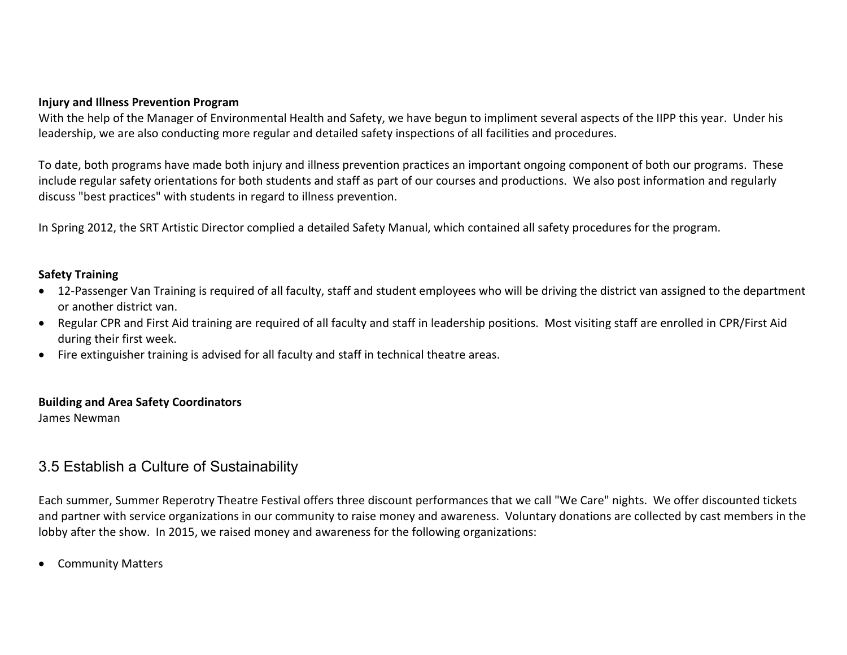#### **Injury and Illness Prevention Program**

With the help of the Manager of Environmental Health and Safety, we have begun to impliment several aspects of the IIPP this year. Under his leadership, we are also conducting more regular and detailed safety inspections of all facilities and procedures.

To date, both programs have made both injury and illness prevention practices an important ongoing component of both our programs. These include regular safety orientations for both students and staff as part of our courses and productions. We also post information and regularly discuss "best practices" with students in regard to illness prevention.

In Spring 2012, the SRT Artistic Director complied a detailed Safety Manual, which contained all safety procedures for the program.

#### **Safety Training**

- 12-Passenger Van Training is required of all faculty, staff and student employees who will be driving the district van assigned to the department or another district van.
- Regular CPR and First Aid training are required of all faculty and staff in leadership positions. Most visiting staff are enrolled in CPR/First Aid during their first week.
- Fire extinguisher training is advised for all faculty and staff in technical theatre areas.

#### **Building and Area Safety Coordinators**

James Newman

## 3.5 Establish a Culture of Sustainability

Each summer, Summer Reperotry Theatre Festival offers three discount performances that we call "We Care" nights. We offer discounted tickets and partner with service organizations in our community to raise money and awareness. Voluntary donations are collected by cast members in the lobby after the show. In 2015, we raised money and awareness for the following organizations:

• Community Matters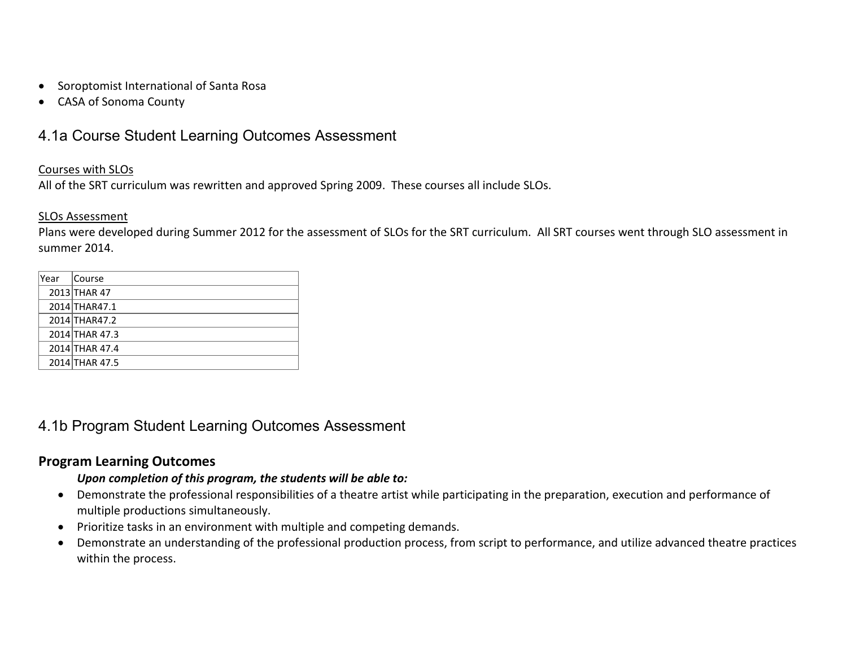- Soroptomist International of Santa Rosa
- CASA of Sonoma County

# 4.1a Course Student Learning Outcomes Assessment

#### Courses with SLOs

All of the SRT curriculum was rewritten and approved Spring 2009. These courses all include SLOs.

#### SLOs Assessment

Plans were developed during Summer 2012 for the assessment of SLOs for the SRT curriculum. All SRT courses went through SLO assessment in summer 2014.

| lYear | Course         |
|-------|----------------|
|       | 2013 THAR 47   |
|       | 2014 THAR47.1  |
|       | 2014 THAR47.2  |
|       | 2014 THAR 47.3 |
|       | 2014 THAR 47.4 |
|       | 2014 THAR 47.5 |

## 4.1b Program Student Learning Outcomes Assessment

#### **Program Learning Outcomes**

#### *Upon completion of this program, the students will be able to:*

- Demonstrate the professional responsibilities of a theatre artist while participating in the preparation, execution and performance of multiple productions simultaneously.
- Prioritize tasks in an environment with multiple and competing demands.
- Demonstrate an understanding of the professional production process, from script to performance, and utilize advanced theatre practices within the process.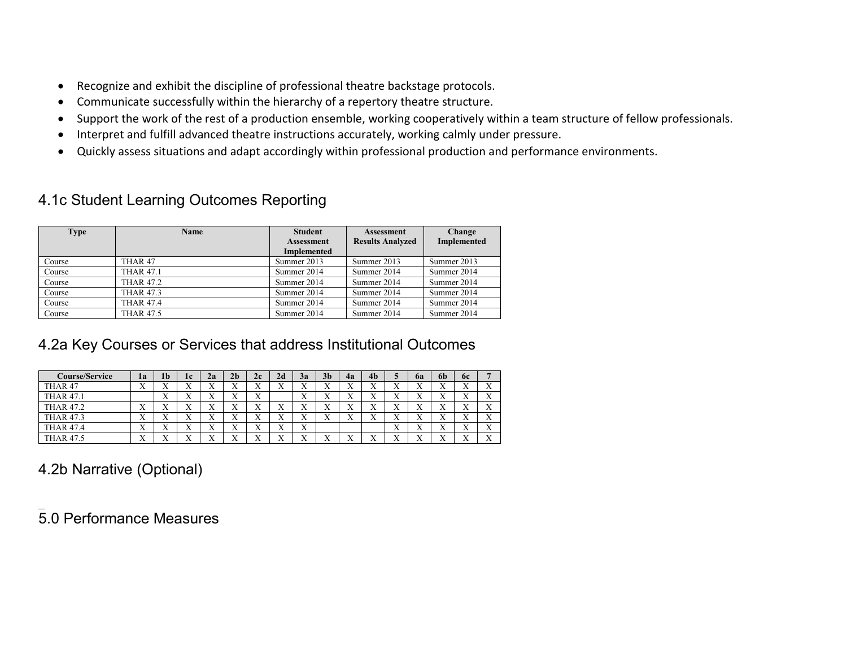- Recognize and exhibit the discipline of professional theatre backstage protocols.
- Communicate successfully within the hierarchy of a repertory theatre structure.
- Support the work of the rest of a production ensemble, working cooperatively within a team structure of fellow professionals.
- Interpret and fulfill advanced theatre instructions accurately, working calmly under pressure.
- Quickly assess situations and adapt accordingly within professional production and performance environments.

# 4.1c Student Learning Outcomes Reporting

| <b>Type</b> | <b>Name</b>        | <b>Student</b>     | <b>Assessment</b>       | Change      |
|-------------|--------------------|--------------------|-------------------------|-------------|
|             |                    | <b>Assessment</b>  | <b>Results Analyzed</b> | Implemented |
|             |                    | <b>Implemented</b> |                         |             |
| Course      | THAR <sub>47</sub> | Summer 2013        | Summer 2013             | Summer 2013 |
| Course      | <b>THAR 47.1</b>   | Summer 2014        | Summer 2014             | Summer 2014 |
| Course      | <b>THAR 47.2</b>   | Summer 2014        | Summer 2014             | Summer 2014 |
| Course      | <b>THAR 47.3</b>   | Summer 2014        | Summer 2014             | Summer 2014 |
| Course      | <b>THAR 47.4</b>   | Summer 2014        | Summer 2014             | Summer 2014 |
| Course      | <b>THAR 47.5</b>   | Summer 2014        | Summer 2014             | Summer 2014 |

# 4.2a Key Courses or Services that address Institutional Outcomes

| C <b>ourse/Service</b> | la                        | 1 <sub>b</sub>            | 1c                        | 2a                        | 2 <sub>b</sub>  | 2c                        | 2d                        | 3a                        | 3 <sub>b</sub>            | 4a                | 4 <sub>b</sub>            |                           | 6a                        | -6b                     | <b>6c</b>                 | Е                         |
|------------------------|---------------------------|---------------------------|---------------------------|---------------------------|-----------------|---------------------------|---------------------------|---------------------------|---------------------------|-------------------|---------------------------|---------------------------|---------------------------|-------------------------|---------------------------|---------------------------|
| THAR 47                | $\mathbf{v}$<br>$\Lambda$ | $\mathbf{v}$<br>$\Lambda$ | ٦z<br>$\Lambda$           | $\mathbf{v}$<br>$\Lambda$ | ۳z<br>$\lambda$ | ٦z<br>$\Lambda$           | $\Lambda$                 | $\mathbf{v}$<br>$\Lambda$ | $\mathbf{v}$<br>$\Lambda$ | ٦z<br>л           | $\mathbf{v}$<br>$\Lambda$ | ٦z<br>$\Lambda$           | $\Lambda$                 | $\Lambda$               | $\mathbf{x}$<br>$\Lambda$ | $\mathbf{v}$<br>$\Lambda$ |
| <b>THAR 47.1</b>       |                           | ٦Z<br>$\Lambda$           | $\mathbf{v}$<br>$\Lambda$ | $\mathbf{v}$<br>$\Lambda$ | ٦z<br>л         | ٦z<br>$\Lambda$           |                           | $\mathbf{v}$<br>$\Lambda$ | $\mathbf{v}$<br>A         | ٦Z<br>л           | $\mathbf{v}$<br>$\Lambda$ | ٦z<br>$\Lambda$           | $\mathbf{x}$<br>$\Lambda$ | ۳z<br>$\Lambda$         | ٦Z<br>$\Lambda$           | X                         |
| <b>THAR 47.2</b>       | $\mathbf{v}$<br>$\Lambda$ | $\mathbf{v}$<br>$\Lambda$ | $\mathbf{v}$<br>$\Lambda$ | $\mathbf{v}$<br>$\Lambda$ | ٦z<br>л         | $\mathbf{v}$<br>$\Lambda$ | ٦z<br>$\Lambda$           | v<br>$\Lambda$            | $\mathbf{v}$<br>$\Lambda$ | $\mathbf{v}$<br>л | $\mathbf{v}$<br>$\lambda$ | $\mathbf{v}$<br>$\Lambda$ | v<br>$\Lambda$            | ۳z<br>$\lambda$         | v<br>$\Lambda$            | X                         |
| <b>THAR 47.3</b>       | $\mathbf{v}$<br>$\Lambda$ | $\mathbf{v}$<br>$\Lambda$ | $\mathbf{v}$<br>$\Lambda$ | $\mathbf{v}$<br>$\lambda$ | ٦z<br>л         | $\mathbf{v}$<br>$\Lambda$ | $\mathbf{v}$<br>$\Lambda$ | $\mathbf{v}$<br>$\Lambda$ | $\mathbf{v}$<br>$\Lambda$ | $\mathbf{v}$<br>л | $\mathbf{v}$<br>$\lambda$ | $\mathbf{x}$<br>$\Lambda$ | $\mathbf{v}$<br>$\Lambda$ | $\Lambda$               | $\mathbf{v}$<br>$\Lambda$ | X                         |
| <b>THAR 47.4</b>       | $\mathbf{v}$<br>$\Lambda$ | $\mathbf{v}$<br>$\Lambda$ | v<br>A                    | $\mathbf{v}$<br>$\Lambda$ | ٦z<br>л         | ٦z<br>$\Lambda$           | $\Lambda$                 | $\mathbf{v}$<br>$\Lambda$ |                           |                   |                           | ٦z<br>$\Lambda$           | v<br>$\Lambda$            | $\lambda$               | $\mathbf{v}$<br>л         | X                         |
| <b>THAR 47.5</b>       | $\mathbf{v}$<br>$\Lambda$ | v<br>$\Lambda$            | $\mathbf{v}$<br>$\Lambda$ | $\mathbf{v}$<br>$\Lambda$ | ٦z<br>∡⊾        | $\mathbf{v}$<br>$\lambda$ | $\mathbf{v}$<br>$\Lambda$ | $\mathbf{v}$<br>$\Lambda$ | $\mathbf{v}$<br>$\Lambda$ | ٦z<br>л           | $\mathbf{v}$<br>$\lambda$ | v<br>$\Lambda$            | v<br>∡⊾                   | <b>x</b> r<br>$\Lambda$ | $\mathbf{v}$<br>$\Lambda$ | $\mathbf{v}$<br>A         |

4.2b Narrative (Optional)

 $\overline{\phantom{a}}$ 5.0 Performance Measures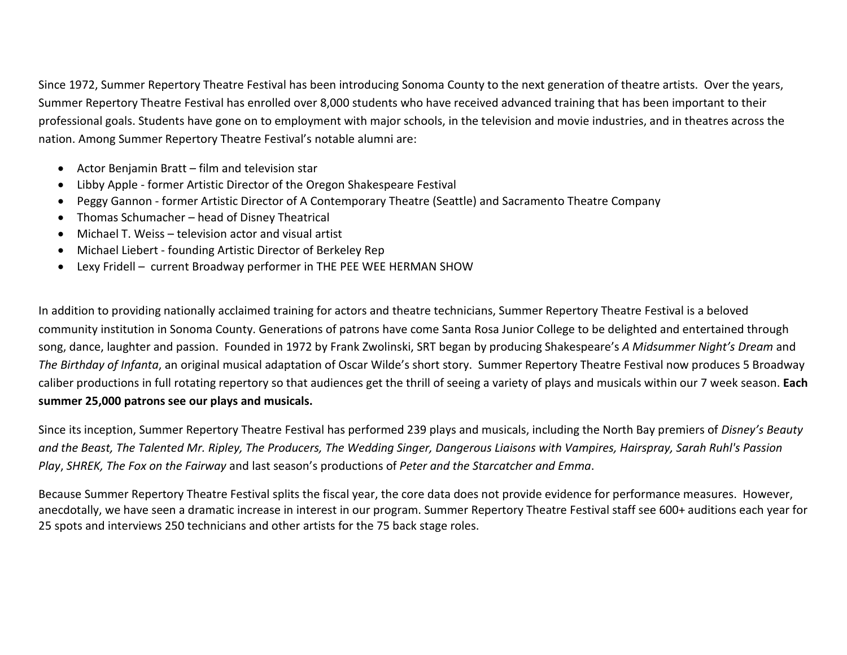Since 1972, Summer Repertory Theatre Festival has been introducing Sonoma County to the next generation of theatre artists. Over the years, Summer Repertory Theatre Festival has enrolled over 8,000 students who have received advanced training that has been important to their professional goals. Students have gone on to employment with major schools, in the television and movie industries, and in theatres across the nation. Among Summer Repertory Theatre Festival's notable alumni are:

- Actor Benjamin Bratt film and television star
- Libby Apple former Artistic Director of the Oregon Shakespeare Festival
- Peggy Gannon former Artistic Director of A Contemporary Theatre (Seattle) and Sacramento Theatre Company
- Thomas Schumacher head of Disney Theatrical
- Michael T. Weiss television actor and visual artist
- Michael Liebert founding Artistic Director of Berkeley Rep
- Lexy Fridell current Broadway performer in THE PEE WEE HERMAN SHOW

In addition to providing nationally acclaimed training for actors and theatre technicians, Summer Repertory Theatre Festival is a beloved community institution in Sonoma County. Generations of patrons have come Santa Rosa Junior College to be delighted and entertained through song, dance, laughter and passion. Founded in 1972 by Frank Zwolinski, SRT began by producing Shakespeare's *A Midsummer Night's Dream* and *The Birthday of Infanta*, an original musical adaptation of Oscar Wilde's short story. Summer Repertory Theatre Festival now produces 5 Broadway caliber productions in full rotating repertory so that audiences get the thrill of seeing a variety of plays and musicals within our 7 week season. **Each summer 25,000 patrons see our plays and musicals.**

Since its inception, Summer Repertory Theatre Festival has performed 239 plays and musicals, including the North Bay premiers of *Disney's Beauty and the Beast, The Talented Mr. Ripley, The Producers, The Wedding Singer, Dangerous Liaisons with Vampires, Hairspray, Sarah Ruhl's Passion Play*, *SHREK, The Fox on the Fairway* and last season's productions of *Peter and the Starcatcher and Emma*.

Because Summer Repertory Theatre Festival splits the fiscal year, the core data does not provide evidence for performance measures. However, anecdotally, we have seen a dramatic increase in interest in our program. Summer Repertory Theatre Festival staff see 600+ auditions each year for 25 spots and interviews 250 technicians and other artists for the 75 back stage roles.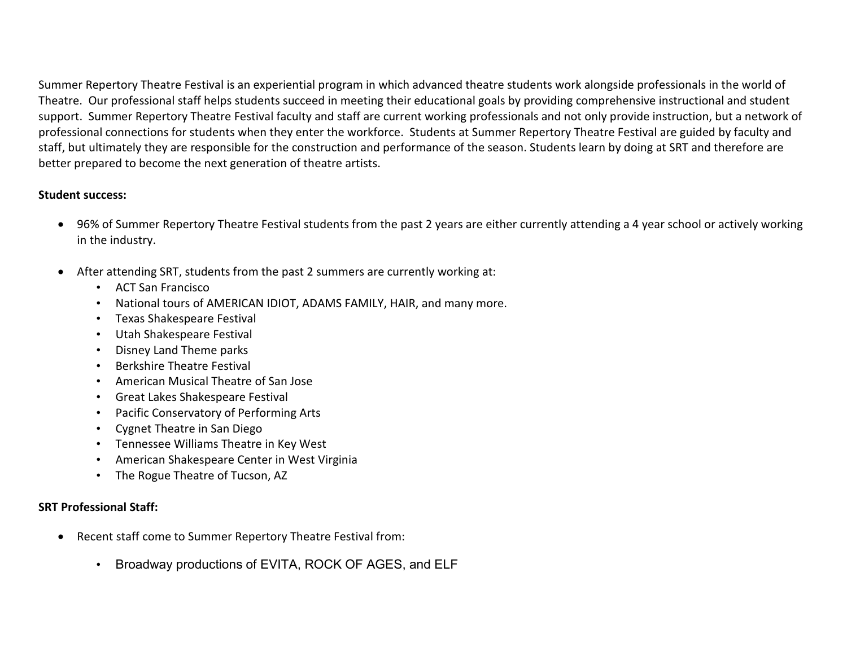Summer Repertory Theatre Festival is an experiential program in which advanced theatre students work alongside professionals in the world of Theatre. Our professional staff helps students succeed in meeting their educational goals by providing comprehensive instructional and student support. Summer Repertory Theatre Festival faculty and staff are current working professionals and not only provide instruction, but a network of professional connections for students when they enter the workforce. Students at Summer Repertory Theatre Festival are guided by faculty and staff, but ultimately they are responsible for the construction and performance of the season. Students learn by doing at SRT and therefore are better prepared to become the next generation of theatre artists.

#### **Student success:**

- 96% of Summer Repertory Theatre Festival students from the past 2 years are either currently attending a 4 year school or actively working in the industry.
- After attending SRT, students from the past 2 summers are currently working at:
	- ACT San Francisco
	- National tours of AMERICAN IDIOT, ADAMS FAMILY, HAIR, and many more.
	- Texas Shakespeare Festival
	- Utah Shakespeare Festival
	- Disney Land Theme parks
	- Berkshire Theatre Festival
	- American Musical Theatre of San Jose
	- Great Lakes Shakespeare Festival
	- Pacific Conservatory of Performing Arts
	- Cygnet Theatre in San Diego
	- Tennessee Williams Theatre in Key West
	- American Shakespeare Center in West Virginia
	- The Rogue Theatre of Tucson, AZ

#### **SRT Professional Staff:**

- Recent staff come to Summer Repertory Theatre Festival from:
	- Broadway productions of EVITA, ROCK OF AGES, and ELF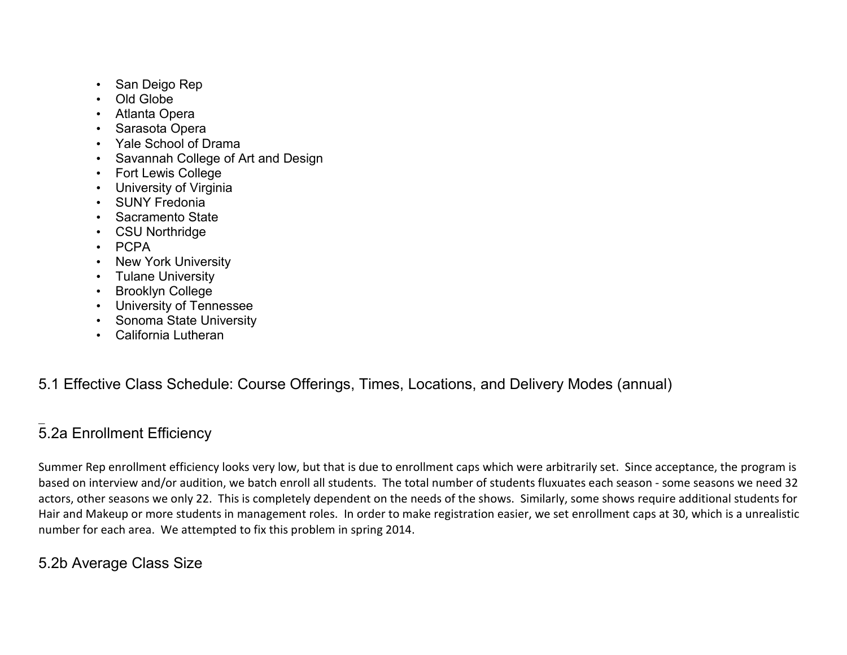- San Deigo Rep
- Old Globe
- Atlanta Opera
- Sarasota Opera
- Yale School of Drama
- Savannah College of Art and Design
- Fort Lewis College
- University of Virginia
- **SUNY Fredonia**
- Sacramento State
- CSU Northridge
- PCPA
- **New York University**
- Tulane University
- Brooklyn College
- University of Tennessee
- Sonoma State University
- California Lutheran

# 5.1 Effective Class Schedule: Course Offerings, Times, Locations, and Delivery Modes (annual)

#### $\overline{\phantom{a}}$ 5.2a Enrollment Efficiency

Summer Rep enrollment efficiency looks very low, but that is due to enrollment caps which were arbitrarily set. Since acceptance, the program is based on interview and/or audition, we batch enroll all students. The total number of students fluxuates each season - some seasons we need 32 actors, other seasons we only 22. This is completely dependent on the needs of the shows. Similarly, some shows require additional students for Hair and Makeup or more students in management roles. In order to make registration easier, we set enrollment caps at 30, which is a unrealistic number for each area. We attempted to fix this problem in spring 2014.

# 5.2b Average Class Size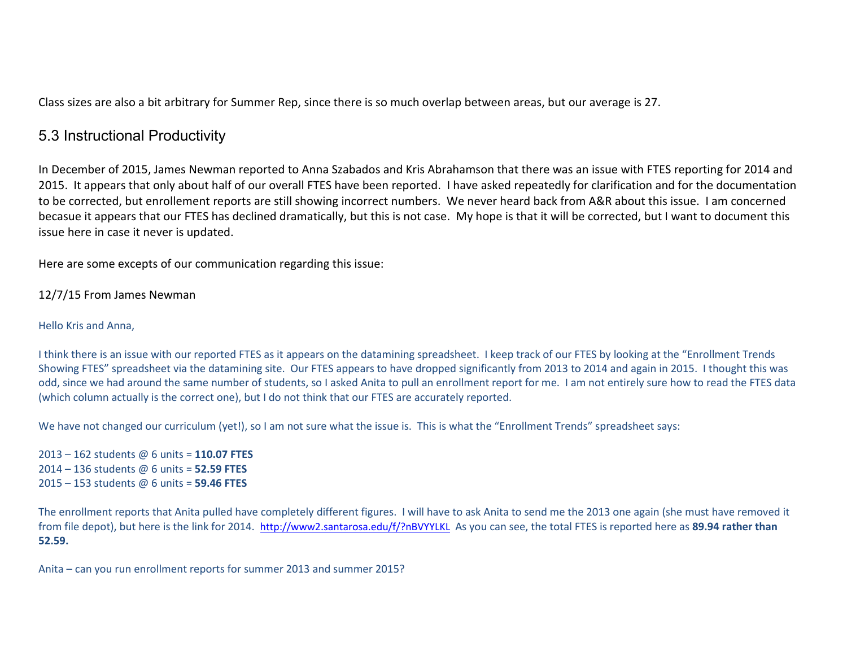Class sizes are also a bit arbitrary for Summer Rep, since there is so much overlap between areas, but our average is 27.

## 5.3 Instructional Productivity

In December of 2015, James Newman reported to Anna Szabados and Kris Abrahamson that there was an issue with FTES reporting for 2014 and 2015. It appears that only about half of our overall FTES have been reported. I have asked repeatedly for clarification and for the documentation to be corrected, but enrollement reports are still showing incorrect numbers. We never heard back from A&R about this issue. I am concerned becasue it appears that our FTES has declined dramatically, but this is not case. My hope is that it will be corrected, but I want to document this issue here in case it never is updated.

Here are some excepts of our communication regarding this issue:

12/7/15 From James Newman

#### Hello Kris and Anna,

I think there is an issue with our reported FTES as it appears on the datamining spreadsheet. I keep track of our FTES by looking at the "Enrollment Trends Showing FTES" spreadsheet via the datamining site. Our FTES appears to have dropped significantly from 2013 to 2014 and again in 2015. I thought this was odd, since we had around the same number of students, so I asked Anita to pull an enrollment report for me. I am not entirely sure how to read the FTES data (which column actually is the correct one), but I do not think that our FTES are accurately reported.

We have not changed our curriculum (yet!), so I am not sure what the issue is. This is what the "Enrollment Trends" spreadsheet says:

2013 – 162 students @ 6 units = **110.07 FTES** 2014 – 136 students @ 6 units = **52.59 FTES** 2015 – 153 students @ 6 units = **59.46 FTES**

The enrollment reports that Anita pulled have completely different figures. I will have to ask Anita to send me the 2013 one again (she must have removed it from file depot), but here is the link for 2014. <http://www2.santarosa.edu/f/?nBVYYLKL> As you can see, the total FTES is reported here as **89.94 rather than 52.59.** 

Anita – can you run enrollment reports for summer 2013 and summer 2015?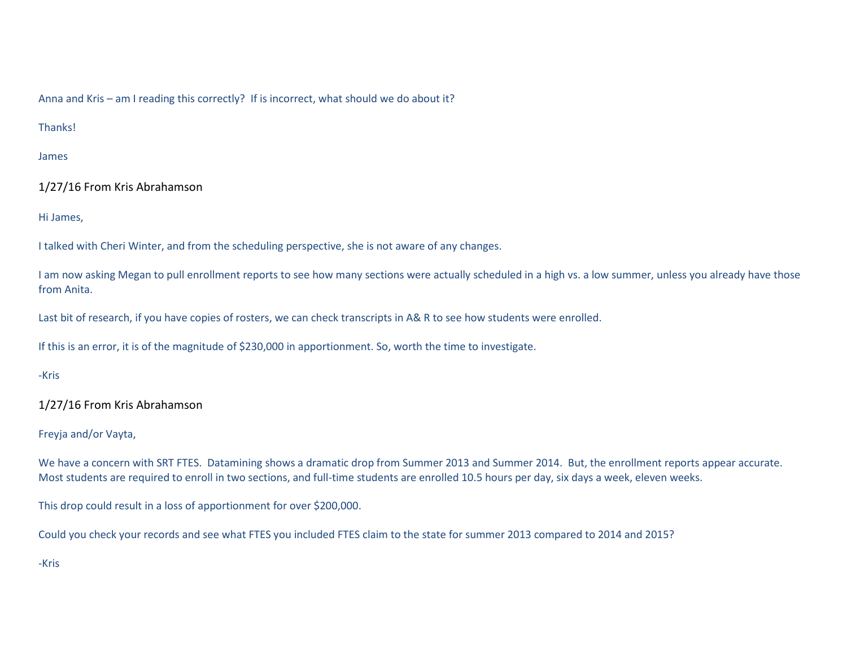Anna and Kris – am I reading this correctly? If is incorrect, what should we do about it?

Thanks!

James

1/27/16 From Kris Abrahamson

Hi James,

I talked with Cheri Winter, and from the scheduling perspective, she is not aware of any changes.

I am now asking Megan to pull enrollment reports to see how many sections were actually scheduled in a high vs. a low summer, unless you already have those from Anita.

Last bit of research, if you have copies of rosters, we can check transcripts in A& R to see how students were enrolled.

If this is an error, it is of the magnitude of \$230,000 in apportionment. So, worth the time to investigate.

-Kris

1/27/16 From Kris Abrahamson

Freyja and/or Vayta,

We have a concern with SRT FTES. Datamining shows a dramatic drop from Summer 2013 and Summer 2014. But, the enrollment reports appear accurate. Most students are required to enroll in two sections, and full-time students are enrolled 10.5 hours per day, six days a week, eleven weeks.

This drop could result in a loss of apportionment for over \$200,000.

Could you check your records and see what FTES you included FTES claim to the state for summer 2013 compared to 2014 and 2015?

-Kris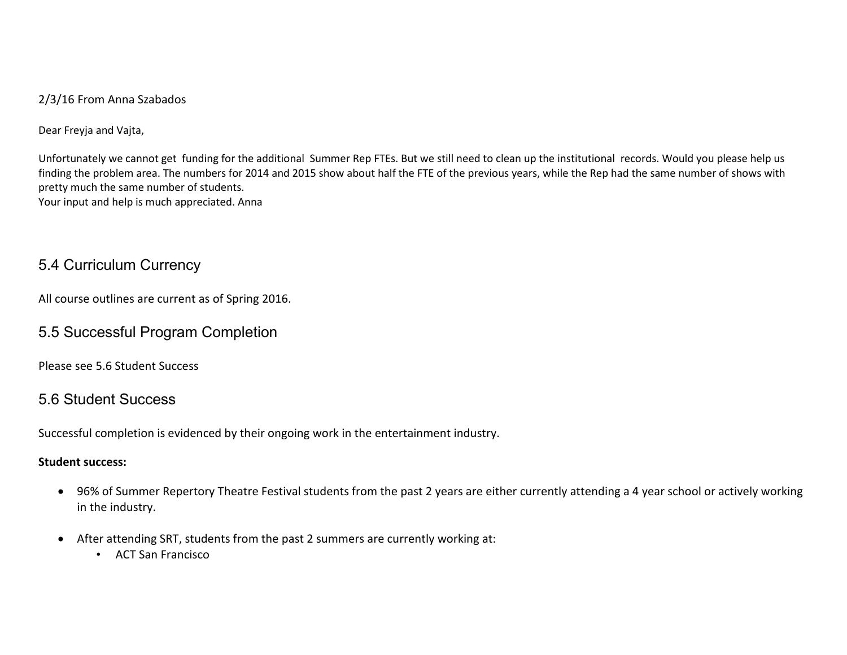2/3/16 From Anna Szabados

Dear Freyja and Vajta,

Unfortunately we cannot get funding for the additional Summer Rep FTEs. But we still need to clean up the institutional records. Would you please help us finding the problem area. The numbers for 2014 and 2015 show about half the FTE of the previous years, while the Rep had the same number of shows with pretty much the same number of students. Your input and help is much appreciated. Anna

## 5.4 Curriculum Currency

All course outlines are current as of Spring 2016.

## 5.5 Successful Program Completion

Please see 5.6 Student Success

## 5.6 Student Success

Successful completion is evidenced by their ongoing work in the entertainment industry.

#### **Student success:**

- 96% of Summer Repertory Theatre Festival students from the past 2 years are either currently attending a 4 year school or actively working in the industry.
- After attending SRT, students from the past 2 summers are currently working at:
	- ACT San Francisco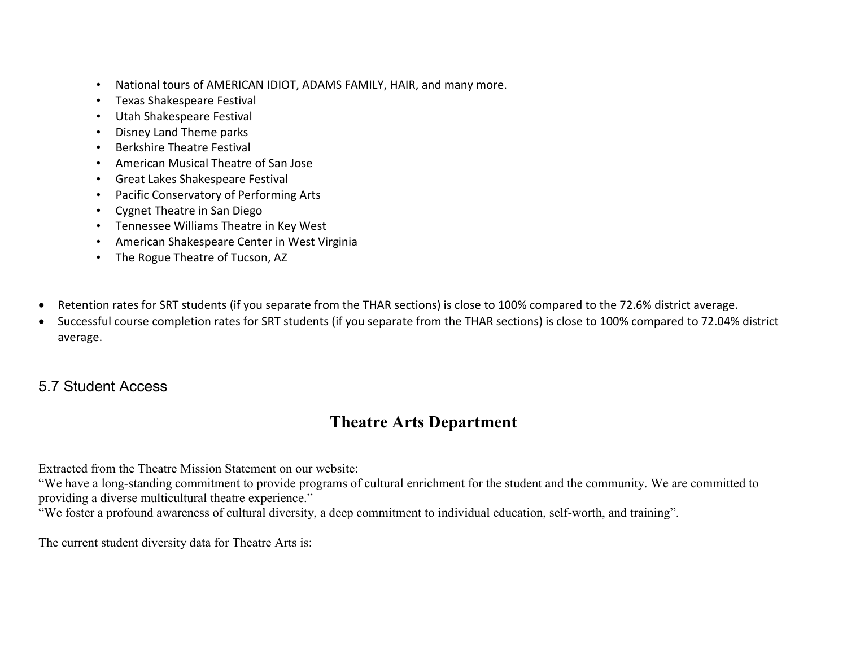- National tours of AMERICAN IDIOT, ADAMS FAMILY, HAIR, and many more.
- Texas Shakespeare Festival
- Utah Shakespeare Festival
- Disney Land Theme parks
- Berkshire Theatre Festival
- American Musical Theatre of San Jose
- Great Lakes Shakespeare Festival
- Pacific Conservatory of Performing Arts
- Cygnet Theatre in San Diego
- Tennessee Williams Theatre in Key West
- American Shakespeare Center in West Virginia
- The Rogue Theatre of Tucson, AZ
- Retention rates for SRT students (if you separate from the THAR sections) is close to 100% compared to the 72.6% district average.
- Successful course completion rates for SRT students (if you separate from the THAR sections) is close to 100% compared to 72.04% district average.

# 5.7 Student Access

# **Theatre Arts Department**

Extracted from the Theatre Mission Statement on our website:

"We have a long-standing commitment to provide programs of cultural enrichment for the student and the community. We are committed to providing a diverse multicultural theatre experience."

"We foster a profound awareness of cultural diversity, a deep commitment to individual education, self-worth, and training".

The current student diversity data for Theatre Arts is: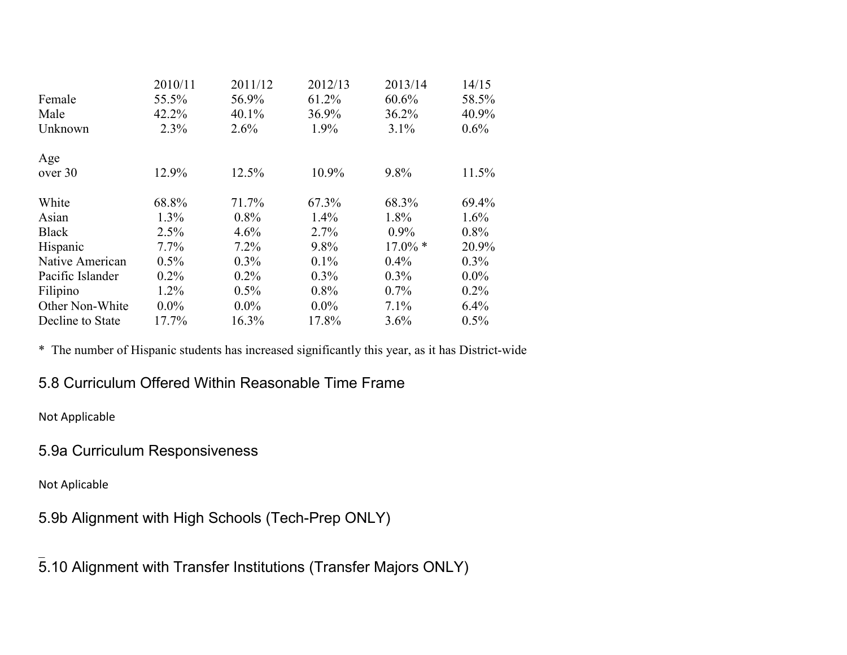|                  | 2010/11 | 2011/12 | 2012/13 | 2013/14    | 14/15   |
|------------------|---------|---------|---------|------------|---------|
| Female           | 55.5%   | 56.9%   | 61.2%   | 60.6%      | 58.5%   |
| Male             | 42.2%   | 40.1%   | 36.9%   | 36.2%      | 40.9%   |
| Unknown          | 2.3%    | 2.6%    | 1.9%    | 3.1%       | $0.6\%$ |
| Age              |         |         |         |            |         |
| over 30          | 12.9%   | 12.5%   | 10.9%   | 9.8%       | 11.5%   |
| White            | 68.8%   | 71.7%   | 67.3%   | 68.3%      | 69.4%   |
| Asian            | $1.3\%$ | $0.8\%$ | $1.4\%$ | 1.8%       | $1.6\%$ |
| <b>Black</b>     | 2.5%    | 4.6%    | 2.7%    | $0.9\%$    | $0.8\%$ |
| Hispanic         | $7.7\%$ | 7.2%    | 9.8%    | $17.0\%$ * | 20.9%   |
| Native American  | $0.5\%$ | $0.3\%$ | $0.1\%$ | $0.4\%$    | $0.3\%$ |
| Pacific Islander | $0.2\%$ | 0.2%    | $0.3\%$ | $0.3\%$    | $0.0\%$ |
| Filipino         | $1.2\%$ | 0.5%    | $0.8\%$ | $0.7\%$    | $0.2\%$ |
| Other Non-White  | $0.0\%$ | $0.0\%$ | $0.0\%$ | 7.1%       | $6.4\%$ |
| Decline to State | 17.7%   | 16.3%   | 17.8%   | 3.6%       | 0.5%    |

\* The number of Hispanic students has increased significantly this year, as it has District-wide

# 5.8 Curriculum Offered Within Reasonable Time Frame

Not Applicable

# 5.9a Curriculum Responsiveness

Not Aplicable

5.9b Alignment with High Schools (Tech-Prep ONLY)

 $\overline{\phantom{a}}$ 5.10 Alignment with Transfer Institutions (Transfer Majors ONLY)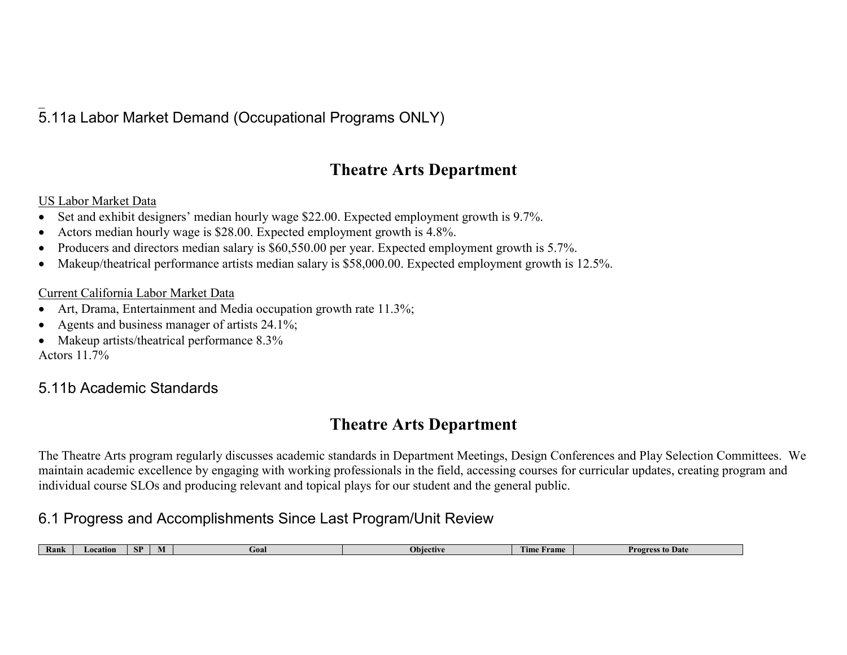#### $\overline{\phantom{a}}$ 5.11a Labor Market Demand (Occupational Programs ONLY)

# **Theatre Arts Department**

#### US Labor Market Data

- Set and exhibit designers' median hourly wage \$22.00. Expected employment growth is 9.7%.
- Actors median hourly wage is \$28.00. Expected employment growth is 4.8%.
- Producers and directors median salary is \$60,550.00 per year. Expected employment growth is 5.7%.
- Makeup/theatrical performance artists median salary is \$58,000.00. Expected employment growth is 12.5%.

#### Current California Labor Market Data

- Art, Drama, Entertainment and Media occupation growth rate 11.3%;
- Agents and business manager of artists 24.1%;
- Makeup artists/theatrical performance 8.3% Actors 11.7%

## 5.11b Academic Standards

# **Theatre Arts Department**

The Theatre Arts program regularly discusses academic standards in Department Meetings, Design Conferences and Play Selection Committees. We maintain academic excellence by engaging with working professionals in the field, accessing courses for curricular updates, creating program and individual course SLOs and producing relevant and topical plays for our student and the general public.

# 6.1 Progress and Accomplishments Since Last Program/Unit Review

| Kank | Location | CD<br>Эľ | Goal | Ohie<br>ective | <b>TELE</b><br>Frame<br><sub>1</sub> me | s to Date<br>Progres. |
|------|----------|----------|------|----------------|-----------------------------------------|-----------------------|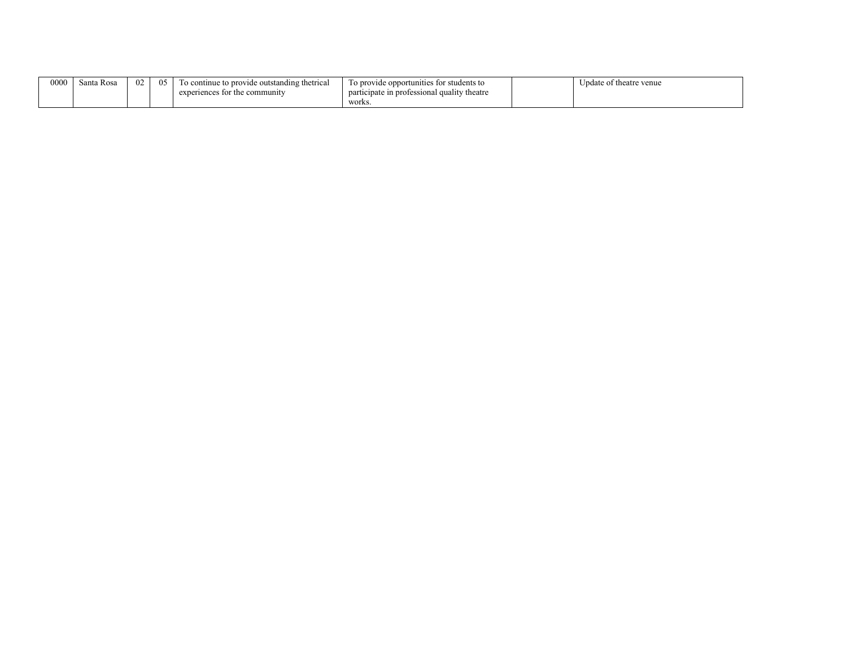| 0000 | Santa Rosa | 02 | ብ< | a continue to provide outstanding thetrical<br>ח ו | To provide opportunities for students to    | Update of theatre venue |
|------|------------|----|----|----------------------------------------------------|---------------------------------------------|-------------------------|
|      |            |    |    | r the community<br>experiences fo                  | participate in professional quality theatre |                         |
|      |            |    |    |                                                    | works.                                      |                         |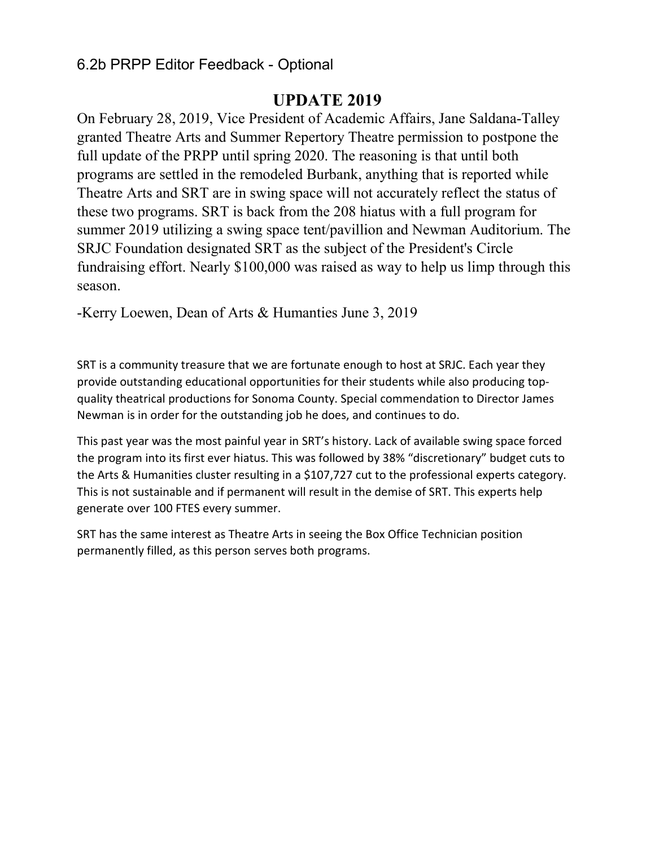## 6.2b PRPP Editor Feedback - Optional

## **UPDATE 2019**

On February 28, 2019, Vice President of Academic Affairs, Jane Saldana-Talley granted Theatre Arts and Summer Repertory Theatre permission to postpone the full update of the PRPP until spring 2020. The reasoning is that until both programs are settled in the remodeled Burbank, anything that is reported while Theatre Arts and SRT are in swing space will not accurately reflect the status of these two programs. SRT is back from the 208 hiatus with a full program for summer 2019 utilizing a swing space tent/pavillion and Newman Auditorium. The SRJC Foundation designated SRT as the subject of the President's Circle fundraising effort. Nearly \$100,000 was raised as way to help us limp through this season.

-Kerry Loewen, Dean of Arts & Humanties June 3, 2019

SRT is a community treasure that we are fortunate enough to host at SRJC. Each year they provide outstanding educational opportunities for their students while also producing topquality theatrical productions for Sonoma County. Special commendation to Director James Newman is in order for the outstanding job he does, and continues to do.

This past year was the most painful year in SRT's history. Lack of available swing space forced the program into its first ever hiatus. This was followed by 38% "discretionary" budget cuts to the Arts & Humanities cluster resulting in a \$107,727 cut to the professional experts category. This is not sustainable and if permanent will result in the demise of SRT. This experts help generate over 100 FTES every summer.

SRT has the same interest as Theatre Arts in seeing the Box Office Technician position permanently filled, as this person serves both programs.